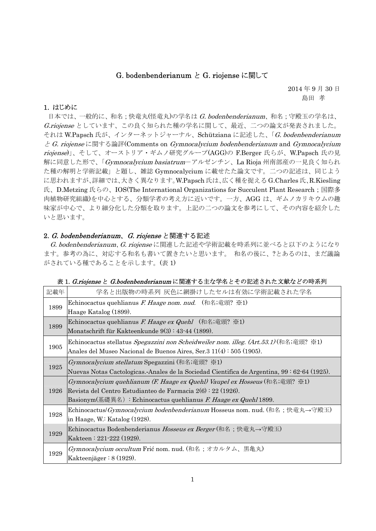# G. bodenbenderianum と G. riojense に関して

2014 年 9 月 30 日 島田 孝

## 1. はじめに

日本では、一般的に、和名;快竜丸(怪竜丸)の学名は G. bodenbenderianum、和名;守殿玉の学名は、 G.riojense としています、この良く知られた種の学名に関して、最近、二つの論文が発表されました。 それは W.Papsch 氏が、インターネットジャーナル、Schütziana に記述した、「G. bodenbenderianum と G. riojense に関する論評(Comments on Gymnocalycium bodenbenderianum and Gymnocalycium riojense)」、そして、オーストリア・ギムノ研究グループ(AGG)の F.Berger 氏らが、W.Papsch 氏の見 解に同意した形で、「Gymnocalycium basiatrumーアルゼンチン、La Rioja 州南部産の一見良く知られ た種の解明と学術記載」と題し、雑誌 Gymnocalycium に載せたた論文です。二つの記述は、同じよう に思われますが、詳細では、大きく異なります。W.Papsch 氏は、広く種を捉える G.Charles 氏、R.Kiesling 氏、D.Metzing 氏らの、IOS(The International Organizations for Succulent Plant Research;国際多 肉植物研究組織)を中心とする、分類学者の考え方に近いです。一方、AGG は、ギムノカリキウムの趣 味家が中心で、より細分化した分類を取ります。上記の二つの論文を参考にして、その内容を紹介した いと思います。

## 2. G. bodenbenderianum、G. riojense と関連する記述

G. bodenbenderianum、G. riojense に関連した記述や学術記載を時系列に並べると以下のようになり ます。参考の為に、対応する和名も書いて置きたいと思います。 和名の後に、?とあるのは、まだ議論 がされている種であることを示します。(表 1)

| 記載年  | 学名と出版物の時系列 灰色に網掛けしたセルは有効に学術記載された学名                                                           |
|------|----------------------------------------------------------------------------------------------|
| 1899 | Echinocactus quehlianus F. Haage nom. nud. $(和a; \hat{\pi}, \hat{\pi})$ ※1)                  |
|      | Haage Katalog (1899).                                                                        |
| 1899 | Echinocactus quehlianus F. Haage ex Quehl (和名;竜頭? ※1)                                        |
|      | Monatschrift für Kakteenkunde 9(3): 43-44 (1899).                                            |
| 1905 | Echinocactus stellatus Spegazzini non Scheidweiler nom. illeg. (Art.53.1) (和名;竜頭? ※1)        |
|      | Anales del Museo Nacional de Buenos Aires, Ser.3 11(4): 505 (1905).                          |
|      | Gymnocalycium stellatum Spegazzini (和名;竜頭? ※1)                                               |
| 1925 | Nuevas Notas Cactologicas.-Anales de la Sociedad Científica de Argentina, 99 : 62-64 (1925). |
| 1926 | $Gymnocalycium quehlianum (F. Haage ex Quehl) Vaupel ex Hosseus (和;電頭? \&1)$                 |
|      | Revista del Centro Estudianteo de Farmacia 2(6): 22 (1926).                                  |
|      | Basionym(基礎異名) :Echinocactus quehlianus F. Haage ex Quehl 1899.                              |
| 1928 | Echinocactus/ <i>Gymnocalycium bodenbenderianum</i> Hosseus nom. nud. (和名;快竜丸→守殿玉)           |
|      | in Haage, W.: Katalog (1928).                                                                |
| 1929 | Echinocactus Bodenbenderianus Hosseus ex Berger (和名;快竜丸→守殿玉)                                 |
|      | Kakteen: 221-222 (1929).                                                                     |
| 1929 | Gymnocalycium occultum Frić nom. nud. (和名;オカルタム、黒亀丸)                                         |
|      | Kakteenjäger $: 8(1929)$ .                                                                   |

## 表 1. G.riojense と G.bodenbenderianum に関連する主な学名とその記述された文献などの時系列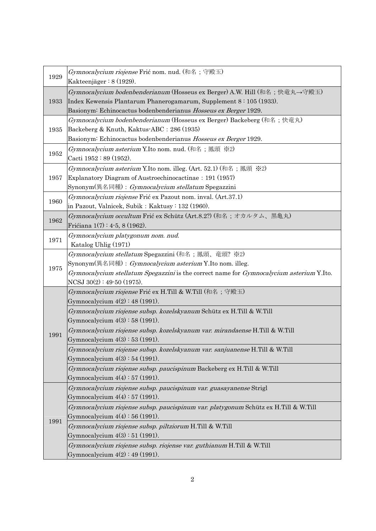| 1929 | Gymnocalycium riojense Frić nom. nud. (和名;守殿玉)<br>Kakteenjäger: $8(1929)$ .                                                                                                                                                                    |
|------|------------------------------------------------------------------------------------------------------------------------------------------------------------------------------------------------------------------------------------------------|
| 1933 | Gymnocalycium bodenbenderianum (Hosseus ex Berger) A.W. Hill (和名;快竜丸→守殿玉)<br>Index Kewensis Plantarum Phanerogamarum, Supplement 8:105 (1933).<br>Basionym: Echinocactus bodenbenderianus Hosseus ex Berger 1929.                              |
| 1935 | Gymnocalycium bodenbenderianum (Hosseus ex Berger) Backeberg (和名;快竜丸)<br>Backeberg & Knuth, Kaktus-ABC : 286 (1935)<br>Basionym: Echinocactus bodenbenderianus Hosseus ex Berger 1929.                                                         |
| 1952 | Gymnocalycium asterium Y.Ito nom. nud. (和名;鳳頭 ※2)<br>Cacti 1952 : 89 (1952).                                                                                                                                                                   |
| 1957 | Gymnocalycium asterium Y.Ito nom. illeg. (Art. 52.1) (和名;鳳頭 ※2)<br>Explanatory Diagram of Austroechinocactinae: 191 (1957)<br>Synonym(異名同種) : <i>Gymnocalycium stellatum</i> Spegazzini                                                        |
| 1960 | Gymnocalycium riojense Frić ex Pazout nom. inval. (Art.37.1)<br>in Pazout, Valnicek, Subik: Kaktusy: 132 (1960).                                                                                                                               |
| 1962 | Gymnocalycium occultum Frić ex Schütz (Art.8.2?) (和名;オカルタム、黒亀丸)<br>Frićiana 1(7): 4-5, 8 (1962).                                                                                                                                               |
| 1971 | Gymnocalycium platygonum nom. nud.<br>Katalog Uhlig (1971)                                                                                                                                                                                     |
| 1975 | Gymnocalycium stellatum Spegazzini (和名;鳳頭、竜頭?※2)<br>Synonym(異名同種) : <i>Gymnocalycium asterium</i> Y.Ito nom. illeg.<br>Gymnocalycium stellatum Spegazzini is the correct name for Gymnocalycium asterium Y.Ito.<br>NCSJ $30(2): 49-50$ (1975). |
| 1991 | Gymnocalycium riojense Frić ex H.Till & W.Till (和名;守殿玉)<br>Gymnocalycium $4(2) : 48 (1991)$ .                                                                                                                                                  |
|      | Gymnocalycium riojense subsp. kozelskyanum Schütz ex H.Till & W.Till<br>Gymnocalycium $4(3) : 58 (1991)$ .                                                                                                                                     |
|      | Gymnocalycium riojense subsp. kozelskyanum var. mirandaense H.Till & W.Till<br>Gymnocalycium $4(3) : 53 (1991)$ .                                                                                                                              |
|      | Gymnocalycium riojense subsp. kozelskyanum var. sanjuanense H.Till & W.Till<br>Gymnocalycium $4(3) : 54 (1991)$ .                                                                                                                              |
|      | Gymnocalycium riojense subsp. paucispinum Backeberg ex H.Till & W.Till<br>Gymnocalycium $4(4) : 57 (1991)$ .                                                                                                                                   |
| 1991 | Gymnocalycium riojense subsp. paucispinum var. guasayanense Strigl<br>Gymnocalycium $4(4) : 57 (1991)$ .                                                                                                                                       |
|      | Gymnocalycium riojense subsp. paucispinum var. platygonum Schütz ex H.Till & W.Till<br>Gymnocalycium $4(4) : 56 (1991)$ .                                                                                                                      |
|      | Gymnocalycium riojense subsp. piltziorum H.Till & W.Till<br>Gymnocalycium $4(3) : 51$ (1991).                                                                                                                                                  |
|      | Gymnocalycium riojense subsp. riojense var. guthianum H.Till & W.Till<br>Gymnocalycium $4(2) : 49 (1991)$ .                                                                                                                                    |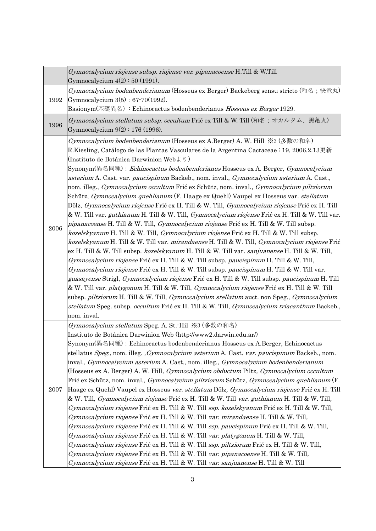|      | Gymnocalycium riojense subsp. riojense var. pipanacoense H.Till & W.Till<br>Gymnocalycium $4(2) : 50 (1991)$ .                                                                                                                                                                                                                                                                                                                                                                                                                                                                                                                                                                                                                                                                                                                                                                                                                                                                                                                                                                                                                                                                                                                                                                                                                                                                                                                                                                                                                                                                                                                                                                                                                                                                                                                                                                                   |
|------|--------------------------------------------------------------------------------------------------------------------------------------------------------------------------------------------------------------------------------------------------------------------------------------------------------------------------------------------------------------------------------------------------------------------------------------------------------------------------------------------------------------------------------------------------------------------------------------------------------------------------------------------------------------------------------------------------------------------------------------------------------------------------------------------------------------------------------------------------------------------------------------------------------------------------------------------------------------------------------------------------------------------------------------------------------------------------------------------------------------------------------------------------------------------------------------------------------------------------------------------------------------------------------------------------------------------------------------------------------------------------------------------------------------------------------------------------------------------------------------------------------------------------------------------------------------------------------------------------------------------------------------------------------------------------------------------------------------------------------------------------------------------------------------------------------------------------------------------------------------------------------------------------|
| 1992 | Gymnocalycium bodenbenderianum (Hosseus ex Berger) Backeberg sensu stricto (和名;快竜丸)<br>Gymnocalycium $3(5) : 67-70(1992)$ .<br>Basionym(基礎異名): Echinocactus bodenbenderianus Hosseus ex Berger 1929.                                                                                                                                                                                                                                                                                                                                                                                                                                                                                                                                                                                                                                                                                                                                                                                                                                                                                                                                                                                                                                                                                                                                                                                                                                                                                                                                                                                                                                                                                                                                                                                                                                                                                             |
| 1996 | Gymnocalycium stellatum subsp. occultum Frić ex Till & W. Till (和名;オカルタム、黒亀丸)<br>Gymnocalycium $9(2) : 176 (1996)$ .                                                                                                                                                                                                                                                                                                                                                                                                                                                                                                                                                                                                                                                                                                                                                                                                                                                                                                                                                                                                                                                                                                                                                                                                                                                                                                                                                                                                                                                                                                                                                                                                                                                                                                                                                                             |
| 2006 | Gymnocalycium bodenbenderianum (Hosseus ex A.Berger) A. W. Hill ※3 (多数の和名)<br>R.Kiesling, Catálogo de las Plantas Vasculares de la Argentina Cactaceae : 19, 2006.2.13更新<br>(Instituto de Botánica Darwinion Web $\downarrow$ !)<br>Synonym(異名同種) : Echinocactus bodenbenderianus Hosseus ex A. Berger, <i>Gymnocalycium</i><br>asterium A. Cast. var. paucispinum Backeb., nom. inval., <i>Gymnocalycium asterium</i> A. Cast.,<br>nom. illeg., Gymnocalycium occultum Frić ex Schütz, nom. inval., Gymnocalycium piltziorum<br>Schütz, Gymnocalycium quehlianum (F. Haage ex Quehl) Vaupel ex Hosseus var. <i>stellatum</i><br>Dölz, Gymnocalycium riojense Frić ex H. Till & W. Till, Gymnocalycium riojense Frić ex H. Till<br>& W. Till var. <i>guthianum</i> H. Till & W. Till, <i>Gymnocalycium riojense</i> Frić ex H. Till & W. Till var.<br>pipanacoense H. Till & W. Till, <i>Gymnocalycium riojense</i> Frić ex H. Till & W. Till subsp.<br>kozelskyanum H. Till & W. Till, Gymnocalycium riojense Frić ex H. Till & W. Till subsp.<br>kozelskyanum H. Till & W. Till var. mirandaense H. Till & W. Till, Gymnocalycium riojense Frić<br>ex H. Till & W. Till subsp. kozelskyanum H. Till & W. Till var. sanjuanense H. Till & W. Till,<br>Gymnocalycium riojense Frić ex H. Till & W. Till subsp. paucispinum H. Till & W. Till,<br>Gymnocalycium riojense Frić ex H. Till & W. Till subsp. paucispinum H. Till & W. Till var.<br>guasayense Strigl, Gymnocalycium riojense Frić ex H. Till & W. Till subsp. paucispinum H. Till<br>& W. Till var. <i>platygonum</i> H. Till & W. Till, <i>Gymnocalycium riojense</i> Frić ex H. Till & W. Till<br>subsp. piltziorum H. Till & W. Till, <i>Gymnocalycium stellatum</i> auct. non Speg., <i>Gymnocalycium</i><br>stellatum Speg. subsp. occultum Frić ex H. Till & W. Till, <i>Gymnocalycium triacanthum</i> Backeb.,<br>nom. inval. |
| 2007 | Gymnocalycium stellatum Speg. A. St. Hil ※3 (多数の和名)<br>Instituto de Botánica Darwinion Web (http://www2.darwin.edu.ar/)<br>Synonym(異名同種) : Echinocactus bodenbenderianus Hosseus ex A.Berger, Echinocactus<br>stellatus Speg., nom. illeg. Gymnocalycium asterium A. Cast. var. paucispinum Backeb., nom.<br>inval., <i>Gymnocalycium asterium</i> A. Cast., nom. illeg., <i>Gymnocalycium bodenbenderianum</i><br>(Hosseus ex A. Berger) A. W. Hill, <i>Gymnocalycium obductum</i> Piltz, <i>Gymnocalycium occultum</i><br>Frić ex Schütz, nom. inval., <i>Gymnocalycium piltziorum</i> Schütz, <i>Gymnocalycium quehlianum</i> (F.<br>Haage ex Quehl) Vaupel ex Hosseus var. stellatum Dölz, Gymnocalycium riojense Frić ex H. Till<br>& W. Till, <i>Gymnocalycium riojense</i> Frić ex H. Till & W. Till <i>var. guthianum</i> H. Till & W. Till,<br>Gymnocalycium riojense Frić ex H. Till & W. Till ssp. kozelskyanum Frić ex H. Till & W. Till,<br>Gymnocalycium riojense Frić ex H. Till & W. Till var. mirandaense H. Till & W. Till,<br>Gymnocalycium riojense Frić ex H. Till & W. Till ssp. paucispinum Frić ex H. Till & W. Till,<br>Gymnocalycium riojense Frić ex H. Till & W. Till var. platygonum H. Till & W. Till,<br>Gymnocalycium riojense Frić ex H. Till & W. Till ssp. piltziorum Frić ex H. Till & W. Till,<br>Gymnocalycium riojense Frić ex H. Till & W. Till var. pipanacoense H. Till & W. Till,<br>Gymnocalycium riojense Frić ex H. Till & W. Till var. sanjuanense H. Till & W. Till                                                                                                                                                                                                                                                                                                                                                                              |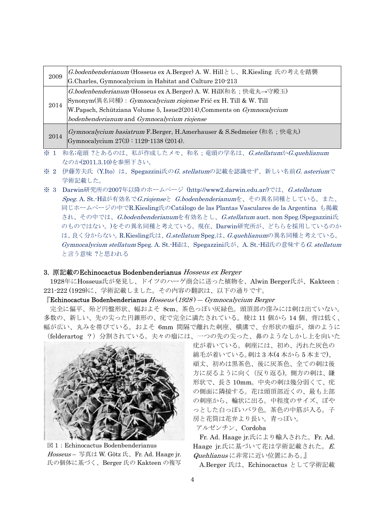| 2009            | G.bodenbenderianum (Hosseus ex A.Berger) A. W. Hillとし、R.Kiesling 氏の考えを踏襲                                         |
|-----------------|------------------------------------------------------------------------------------------------------------------|
|                 | G.Charles, Gymnocalycium in Habitat and Culture 210-213                                                          |
| 2014            | G.bodenbenderianum (Hosseus ex A.Berger) A. W. Hill (和名;快竜丸→守殿玉)                                                 |
|                 | Synonym(異名同種): Gymnocalycium riojense Frić ex H. Till & W. Till                                                  |
|                 | W.Papsch, Schütziana Volume 5, Issue2(2014), Comments on <i>Gymnocalycium</i>                                    |
|                 | bodenbenderianum and Gymnocalycium riojense                                                                      |
| 2014            | [Gymnocalycium basiatrum F.Berger, H.Amerhauser & S.Sedmeier (和名; 快竜丸)<br>Gymnocalycium 27(3): 1129-1138 (2014). |
| $\mathcal{N}$ 1 | 和夕音雨 9レちるのけ、刮が佐命したメエー和夕・帝雨の学夕け、CatallatumかCaughlianum                                                            |

- 和名;竜頭 ?とあるのは、私が作成したメモ、和名;竜頭の学名は、*G.stellatum*か*G.quehlianum* なのか(2011.3.10)を参照下さい。
- ※ 2 伊藤芳夫氏 (Y.Ito) は、Spegazzini氏のG. stellatumの記載を認識せず、新しい名前G. asteriumで 学術記載した。
- ※ 3 Darwin研究所の2007年以降のホームページ (http://www2.darwin.edu.ar/)では、G.stellatum Speg. A. St.-Hilが有効名でG.riojenseと G.bodenbenderianumを、その異名同種としている。また、 同じホームページの中でR.Kiesling氏のCatálogo de las Plantas Vasculares de la Argentina も掲載 され、その中では、G.bodenbenderianumを有効名とし、G.stellatum auct. non Speg.(Spegazzini氏 のものではない。)をその異名同種と考えている。現在、Darwin研究所が、どちらを採用しているのか は、良く分からない。R.Kiesling氏は、G.stellatum Speg.は、G.quehlianumの異名同種と考えている。 Gymnocalycium stellatum Speg. A. St.-Hilは、Spegazzini氏が、A. St.-Hil氏の意味するG. stellatum と言う意味 ?と思われる

#### 3. 原記載のEchinocactus Bodenbenderianus Hosseus ex Berger

1928年にHosseus氏が発見し、ドイツのハーゲ商会に送った植物を、Alwin Berger氏が、Kakteen: 221-222 (1929)に、学術記載しました。その内容の翻訳は、以下の通りです。

### $\mathbb{F}$ Echinocactus Bodenbenderianus Hosseus (1928) — Gymnocalycium Berger

 完全に偏平、殆ど円盤形状、幅およそ 8cm、茶色っぽい灰緑色。頭頂部の窪みには刺は出ていない。 多数の、新しい、先の尖った円錐形の、疣で完全に満たされている。稜は 11 個から 14 個、背は低く、 幅が広い、丸みを帯びている。およそ 6mm 間隔で離れた刺座、横溝で、台形状の瘤が、畑のように (felderartog ?)分割されている。夫々の瘤には、一つの先の尖った、鼻のようなしかし上を向いた



図 1:Echinocactus Bodenbenderianus Hosseus – 写真は W. Götz 氏、Fr. Ad. Haage jr. 氏の個体に基づく、Berger 氏の Kakteen の複写

疣が着いている。刺座には、初め、汚れた灰色の 綿毛が着いている。刺は 3 本(4 本から 5 本まで)、 頑丈、初めは黒茶色、後に灰茶色、全ての刺は後 方に戻るように向く(反り返る)。側方の刺は、鎌 形状で、長さ 10mm。中央の刺は幾分弱くて、疣 の側面に隣接する。花は頭頂部近くの、最も上部 の刺座から、輪状に出る。中程度のサイズ、ぼや っとした白っぽいバラ色。茶色の中筋が入る。子 房と花筒は花弁より長い。青っぽい。 アルゼンチン、Cordoba

Fr. Ad. Haage jr.氏により輸入された。Fr. Ad. Haage jr.氏に基づいて花は学術記載された。E. Quehlianus に非常に近い位置にある。』

A.Berger 氏は、Echinocactus として学術記載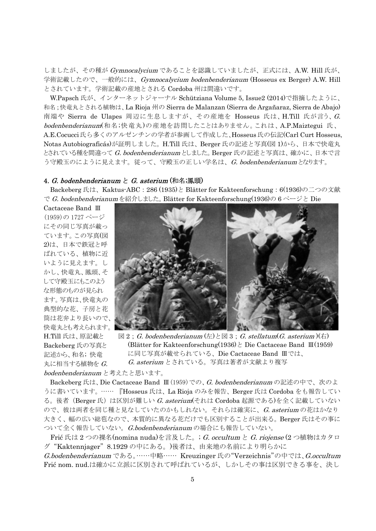しましたが、その種が Gymnocalycium であることを認識していましたが、正式には、A.W. Hill 氏が、 学術記載したので、一般的には、Gymnocalycium bodenbenderianum (Hosseus ex Berger) A.W. Hill とされています。学術記載の産地とされる Cordoba 州は間違いです。

W.Papsch 氏が、インターネットジャーナル Schütziana Volume 5, Issue2 (2014)で指摘したように、 和名;快竜丸とされる植物は、La Rioja 州の Sierra de Malanzan (Sierra de Argañaraz, Sierra de Abajo) 南端や Sierra de Ulapes 周辺に生息しますが、その産地を Hosseus 氏は、H.Till 氏が言う、G. bodenbenderianum(和名;快竜丸)の産地を訪問したことはありません。これは、A.P.Maiztegui 氏、 A.E.Cocucci氏ら多くのアルゼンチンの学者が参画して作成した、Hosseus氏の伝記(Carl Curt Hosseus, Notas Autobiograficás)が証明しました。H.Till 氏は、Berger 氏の記述と写真(図 1)から、日本で快竜丸 とされている種を間違って G. bodenbenderianum としました。Berger 氏の記述と写真は、確かに、日本で言 う守殿玉のにように見えます。従って、守殿玉の正しい学名は、G. bodenbenderianumとなります。

### 4. G. bodenbenderianum と G. asterium (和名;鳳頭)

Backeberg 氏は、Kaktus-ABC: 286 (1935)と Blätter for Kakteenforschung: 6(1936)の二つの文献 で G. bodenbenderianumを紹介しました。Blätter for Kakteenforschung(1936)の 6 ページと Die

Cactaceae Band Ⅲ (1959)の 1727 ページ にその同じ写真が載っ ています。この写真(図 2)は、日本で鉄冠と呼 ばれている、植物に近 いように見えます。し かし、快竜丸、鳳頭、そ して守殿玉にもこのよう な形態のものが見られ ます。写真は、快竜丸の 典型的な花、子房と花 筒は花弁より長いので、 快竜丸とも考えられます。 H.Till 氏は、原記載と Backeberg 氏の写真と 記述から、和名; 快竜 丸に相当する植物を  $G$ .



 $\boxtimes$  2; G. bodenbenderianum  $(\pm)$   $\geq$   $\boxtimes$  3; G. stellatum  $(G.$  asterium  $)(\pm)$  (Blätter for Kakteenforschung(1936)と Die Cactaceae Band Ⅲ(1959) に同じ写真が載せられている、Die Cactaceae Band Ⅲでは、 G. asterium とされている。写真は著者が文献より複写

bodenbenderianum と考えたと思います。

Backeberg 氏は、Die Cactaceae Band Ⅲ(1959)での、G. bodenbenderianum の記述の中で、次のよ うに書いています。…… 『Hosseus 氏は、La Rioja のみを報告、Berger 氏は Cordoba をも報告してい る。後者(Berger 氏)は区別が難しい G. asterium(それは Cordoba 起源である)を全く記載していない ので、彼は両者を同じ種と見なしていたのかもしれない。それらは確実に、G. asterium の花はかなり 大きく、幅の広い総苞なので、本質的に異なる花だけでも区別することが出来る。Berger 氏はその事に ついて全く報告していない。G.bodenbenderianum の場合にも報告していない。

Frić 氏は2つの裸名(nomina nuda)を言及した。; G. occultum と G. riojense (2つ植物はカタロ グ"Kaktennjager"8.1929 の中にある。)後者は、由来地の名前により明らかに

G.bodenbenderianum である。……中略…… Kreuzinger 氏の"Verzeichnis"の中では、G.occultum Frić nom. nud.は確かに立派に区別されて呼ばれているが、しかしその事は区別できる事を、決し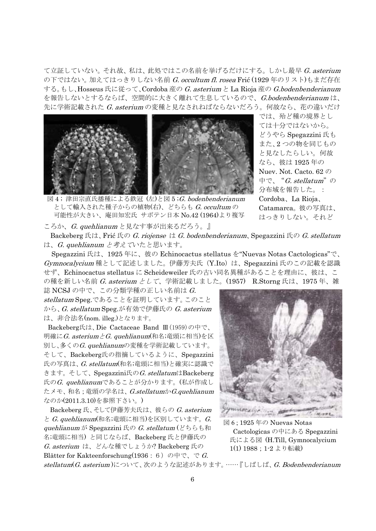て立証していない。それ故、私は、此処ではこの名前を挙げるだけにする。しかし最早 G. asterium の下ではない。加えてはっきりしない名前 G. occultum fl. rosea Frić (1929年のリスト)もまだ存在 する。もし、Hosseus 氏に従って、Cordoba 産の G. asterium と La Rioja 産の G.bodenbenderianum を報告しないとするならば、空間的に大きく離れて生息しているので、G.bodenbenderianum は、 先に学術記載された G. asterium の変種と見なされねばならないだろう。何故なら、花の違いだけ



では、殆ど種の境界とし ては十分ではないから。 どうやら Spegazzini 氏も また、2 つの物を同じもの と見なしたらしい。何故 なら、彼は 1925 年の Nuev. Not. Cacto. 62 の 中で、"G. stellatum"の 分布域を報告した。: Cordoba、La Rioja、 Catamarca。彼の写真は、 はっきりしない。それど

図4;津田宗直氏播種による鉄冠 (左)と図 5;G. bodenbenderianum として輸入された種子からの植物(右)、どちらも G. occultum の 可能性が大きい、庵田知宏氏 サボテン日本 No.42 (1964)より複写

ころか、G. quehlianum と見なす事が出来るだろう。』

Backeberg 氏は、Frić 氏の G. riojense は G. bodenbenderianum、Spegazzini 氏の G. stellatum は、G. quehlianum と考えていたと思います。

Spegazzini 氏は、1925 年に、彼の Echinocactus stellatus を"Nuevas Notas Cactologicas"で、 Gymnocalycium 種として記述しました。伊藤芳夫氏(Y.Ito)は、Spegazzini 氏のこの記載を認識 せず、Echinocactus stellatus に Scheideweiler 氏の古い同名異種があることを理由に、彼は、こ の種を新しい名前 G. asterium として、学術記載しました。(1957) R.Storng 氏は、1975 年、雑

誌 NCSJ の中で、この分類学種の正しい名前は G. stellatum Speg.であることを証明しています。このこと から、G. stellatum Speg.が有効で伊藤氏の G. asterium は、非合法名(nom. illeg.)となります。

Backeberg氏は、Die Cactaceae Band Ⅲ(1959)の中で、 明確にG. asteriumとG. quehlianum(和名;竜頭に相当)を区 別し、多くのG. quehlianumの変種を学術記載しています。 そして、Backeberg氏の指摘しているように、Spegazzini 氏の写真は、G. stellatum(和名;竜頭に相当)と確実に認識で きます。そして、Spegazzini氏のG. stellatumはBackeberg 氏の $G$ . quehlianumであることが分かります。(私が作成し たメモ、和名;竜頭の学名は、G.stellatumかG.quehlianum なのか(2011.3.10)を参照下さい。)

 Backeberg 氏、そして伊藤芳夫氏は、彼らの G. asterium と G. quehlianum(和名;竜頭に相当)を区別しています。G. quehlianum が Spegazzini 氏の G. stellatum (どちらも和 名;竜頭に相当) と同じならば、Backeberg 氏と伊藤氏の G. asterium は、どんな種でしょうか? Backeberg 氏の Blätter for Kakteenforschung(1936: 6)の中で、で G.



図 6 ; 1925 年の Nuevas Notas Cactologicas の中にある Spegazzini 氏による図 (H.Till, Gymnocalycium 1(1) 1988;1-2 より転載)

stellatum(G. asterium)について、次のような記述があります。……『しばしば、G. Bodenbenderianum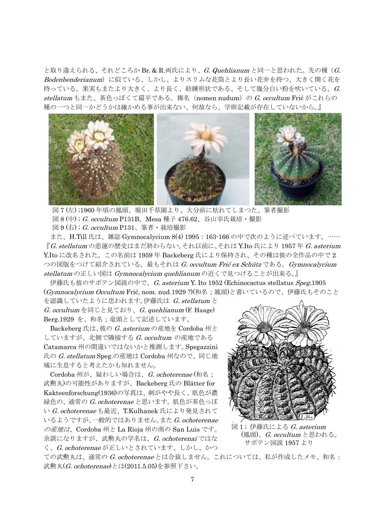と取り違えられる、それどころか Br. & R.両氏により、*G. Quehlianum* と同一と思われた。先の種(*G.* Bodenbenderianum)に似ている、しかし、よりスリムな花筒とより長い花弁を持つ、大きく開く花を 持っている。果実もまたより大きく、より長く、紡錘形状である、そして幾分白い粉を吹いている、G. stellatum もまた、茶色っぽくて扁平である。裸名 (nomen nudum) の G. occultum Frić がこれらの 種の一つと同一かどうかは確かめる事が出来ない、何故なら、学術記載が存在していないから。』



図 7 (左) ;1960 年頃の鳳頭、堀田千草園より、大分前に枯れてしまつた、筆者撮影 図 8 (中) ; G. occultum P131B、Mesa 種子 476.62、谷山宰氏栽培・撮影 図 9 (右); G. occultum  $P131$ 、筆者・栽培撮影

 また、H.Till 氏は、雑誌 Gymnocalycium 8(4) 1995:163-166 の中で次のように述べています。…… 『G. stellatum の悲運の歴史はまだ終わらない。それ以前に、それは Y.Ito 氏により 1957 年 G. asterium Y.Ito に改名された。この名前は 1959 年 Backeberg 氏により保持され、その種は彼の全作品の中で 2 つの図版をつけて紹介されている。最もそれは G. occultum Frić ex Schütz である。Gymnocalycium stellatum の正しい図は Gymnocalycium quehlianum の近くで見つけることが出来る。』

伊藤氏も彼のサボテン図説の中で、G. asterium Y. Ito 1952 (Echinocactus stellatus Speg.1905 (Gymnocalycium Occultum Frić, nom. nud.1929 ?)(和名;鳳頭)と書いているので、伊藤氏もそのこと

を認識していたように思われます。伊藤氏は G. stellatum と  $G.$  occultum を同じと見ており、 $G.$  quehlianum (F. Haage) Berg.1929 を、和名;竜頭として記述しています。

Backeberg 氏は、彼の G. asterium の産地を Cordoba 州と していますが、北側で隣接する G. occultum の産地である Catamarca 州の間違いではないかと推測します。Spegazzini 氏の G. stellatum Speg.の産地は Cordoba 州なので、同じ地 域に生息すると考えたかも知れません。

Cordoba 州が、疑わしい場合は、G. ochoterenae (和名; 武勲丸)の可能性がありますが、Backeberg 氏の Blätter for Kakteenforschung(1936)の写真は、刺がやや長く、肌色が濃 緑色の、通常の G. ochoterenae と思います。肌色が茶色っぽ い G. ochoterenae も最近、T.Kulhanek 氏により発見されて いるようですが、一般的ではありません。また G. ochoterenae の産地は、Cordoba 州と La Rioja 州の南の San Luis です。 余談になりますが、武勲丸の学名は、G. ochoterenai ではな く、G. ochoterenae が正しいとされています、しかし、かつ



図1;伊藤氏による G. asterium (鳳頭)、G. occultum と思われる。 サボテン図説 1957 より

ての武勲丸は、通常の G. ochoterenae とは合致しません。これについては、私が作成したメモ、和名: 武勲丸(G. ochoterenae)とは(2011.5.05)を参照下さい。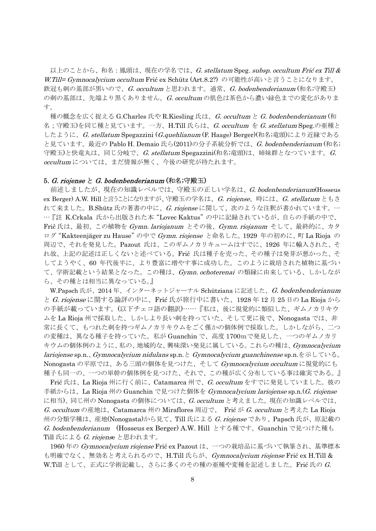以上のことから、和名:鳳頭は、現在の学名では、 $G.$  stellatum  $\operatorname{Spec}$ . subsp. occultum Frić ex Till  $\&$ W.Till= Gymnocalycium occultum Frić ex Schütz (Art.8.2?) の可能性が高いと言うことになります。 鉄冠も刺の基部が黒いので、G. occultum と思われます。通常、G. bodenbenderianum (和名;守殿玉) の刺の基部は、先端より黒くありません。G. occultum の肌色は茶色から濃い緑色までの変化がありま す。

種の概念を広く捉える G.Charles 氏や R.Kiesling 氏は、*G. occultum と G. bodenbenderianum* (和 名;守殿玉)を同じ種と見ています。一方、H.Till 氏らは、*G. occultum を G. stellatum* Speg.の亜種と したように、G. stellatum Spegazzini (G.quehlianum (F. Haage) Berger)(和名;竜頭)により近縁である と見ています。最近の Pablo H. Demaio 氏ら(2011)の分子系統分析では、G. bodenbenderianum (和名; 守殿玉)と快竜丸は、同じ分岐で、G. stellatum Spegazzini(和名;竜頭)は、姉妹群となつています。G. occultum については、まだ情報が無く、今後の研究が待たれます。

#### 5. G. riojense と G. bodenbenderianum (和名;守殿玉)

前述しましたが、現在の知識レベルでは、守殿玉の正しい学名は、G. bodenbenderianum(Hosseus ex Berger) A.W. Hill と言うことになりますが、守殿玉の学名は、 G. riojense、時には、 G. stellatum ともさ れて来ました。B.Shütz 氏の著書の中に、G. riojense に関して、次のような注釈が書かれています。… …『註 K.Crkala 氏から出版された本"Lovec Kaktus"の中に記録されているが、自らの手紙の中で、 Frič 氏は、最初、この植物を Gymn. lariojanum とその後、Gymn. riojanum そして、最終的に、カタ ログ "Kakteenjäger zu Hause" の中で Gymn. riojense と命名した。1929 年の初めに、町 La Rioja の 周辺で、それを発見した。Pazout 氏は、このギムノカリキュームはすでに、1926 年に輸入された、そ れ故、上記の記述は正しくないと述べている。Frič 氏は種子を売った、その種子は発芽が悪かった、そ してようやく、60 年代後半に、より豊富に増やす事に成功した。このように栽培された植物に基づい て、学術記載という結果となった。この種は、Gymn. ochoterenai の類縁に由来している、しかしなが ら、その種とは相当に異なっている。』

W.Papsch 氏が、2014年、インターネットジャーナル Schütziana に記述した、G. bodenbenderianum と G. riojense に関する論評の中に、Frić 氏が旅行中に書いた、1928 年 12 月 25 日の La Rioja から の手紙が載っています。(以下チェコ語の翻訳)……『私は、後に視覚的に類似した、ギムノカリキウ ムを La Rioja 州で採取した、しかしより長い刺を持っていた、そして更に後で、Nonogasta では、非 常に長くて、もつれた刺を持つギムノカリキウムをごく僅かの個体例で採取した。しかしながら、二つ の変種は、異なる種子を持っていた。私が Guanchin で、高度 1700mで発見した、一つのギムノカリ キウムの個体例のように、私の、地域的な、興味深い発見に属している。これらの種は、Gymnocalycium lariojense sp.n.、Gymnocalycium nidulans sp.n.と Gymnocalycium guanchinense sp.n.を示している。 Nonogasta の平原では、ある三頭の個体を見つけた、そして Gymnocalycium occultum に視覚的にも 種子も同一の、一つの単幹の個体例を見つけた、それで、この種が広く分布している事は確実である。』

Frić 氏は、La Rioja 州に行く前に、Catamarca 州で、G. occultum をすでに発見していました。彼の 手紙からは、La Rioja 州の Guanchin で見つけた個体を Gymnocalycium lariojense sp.n. (G. riojense に相当)、同じ州の Nonogasta の個体については、G. occultum と考えました。現在の知識レベルでは、 G. occultum の産地は、Catamarca 州の Miraflores 周辺で、 Frić が G. occultum と考えた La Rioja 州の分類学種は、産地(Nonogasta)から見て、Till 氏による G. riojense であり、Papsch 氏が、原記載の G. bodenbenderianum (Hosseus ex Berger) A.W. Hill とする種です。Guanchin で見つけた種も Till 氏による G. riojense と思われます。

1960年の Gymnocalycium riojense Frić ex Pazout は、一つの栽培品に基づいて執筆され、基準標本 も明確でなく、無効名と考えられるので、H.Till 氏らが、*Gymnocalycium riojense* Frić ex H.Till & W.Till として、正式に学術記載し、さらに多くのその種の亜種や変種を記述しました。Frić 氏の  $G$ .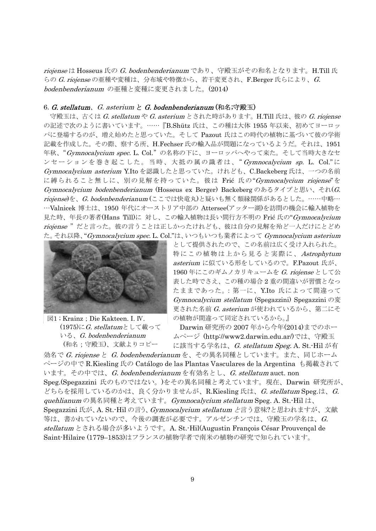riojense は Hosseus 氏の G. bodenbenderianum であり、守殿玉がその和名となります。H.Till 氏 らの  $G.$  riojense の亜種や変種は、分布域や特徴から、若干変更され、F.Berger 氏らにより、 $G.$ bodenbenderianum の亜種と変種に変更されました。(2014)

## 6. G. stellatum, G. asterium  $\angle G$ . bodenbenderianum (和名;守殿玉)

守殿玉は、古くは G. stellatum や G. asterium とされた時があります。H.Till 氏は、彼の G. riojense の記述で次のように書いています。……『B.Shütz 氏は、この種は大体 1955 年以来、初めてヨーロッ パに登場するのが、増え始めたと思っていた。そして Pazout 氏はこの時代の植物に基づいて彼の学術 記載を作成した。その際、察する所、H.Fechser 氏の輸入品が問題になっているようだ。それは、1951 年秋、"Gymnocalycium spec. L. Col."の名称の下に、ヨーロッパへやって来た。そして当時大きなセ ンセーションを巻き起こした。当時、大抵の属の識者は、" Gymnocalycium sp. L. Col." に Gymnocalycium asterium Y.Ito を認識したと思っていた。けれども、C.Backeberg 氏は、一つの名前 に縛られること無しに、別の見解を持っていた。彼は Frić 氏の"Gymnocalycium riojense"を Gymnocalycium bodenbenderianum (Hosseus ex Berger) Backeberg のあるタイプと思い、それ(G. riojense)を、G. bodenbenderianum (ここでは快竜丸)と疑いも無く類縁関係があるとした。……中略… …Valnicek 博士は、1950 年代にオーストリア中部の Attersee(アッター湖)を訪問の機会に輸入植物を 見た時、年長の著者(Hans Till)に対し、この輸入植物は長い間行方不明の Frić 氏の"Gymnocalycium riojense"だと言った。彼の言うことは正しかったけれども、彼は自分の見解を殆ど一人だけにとどめ た。それ以降、"Gymnocalycium spec. L. Col."は、いつもいつも業者によって Gymnocalycium asterium



図1 ; Krainz;Die Kakteen. I. Ⅳ.  $(1975)$ にG. stellatumとして載って いる、G. bodenbenderianum (和名;守殿玉)、文献よりコピー

として提供されたので、この名前は広く受け入れられた。 特にこの植物は上から見ると実際に、 Astrophytum asterium に似ている形をしているので。F.Pazout 氏が、 1960年にこのギムノカリキュームを G. riojense として公 表した時でさえ、この種の場合 2 重の間違いが習慣となっ たままであった。:第一に、Y.Ito 氏によって間違って Gymnocalycium stellatum (Spegazzini) Spegazzini の変 更された名前 G. asterium が使われているから、第二にそ の植物が間違って同定されているから。』

Darwin 研究所の 2007 年から今年(2014)までのホー ムページ (http://www2.darwin.edu.ar/)では、守殿玉 に該当する学名は、G. stellatum Speg. A. St.-Hil が有

効名で G. riojense と G. bodenbenderianum を、その異名同種としています。また、同じホーム ページの中で R.Kiesling 氏の Catálogo de las Plantas Vasculares de la Argentina も掲載されて います。その中では、G. bodenbenderianum を有効名とし、G. stellatum auct. non Speg.(Spegazzini 氏のものではない。)をその異名同種と考えています。現在、Darwin 研究所が、 どちらを採用しているのかは、良く分かりませんが、R.Kiesling 氏は、G. stellatum Speg.は、G. quehlianum の異名同種と考えています。Gymnocalycium stellatum Speg. A. St.-Hil は、 Spegazzini 氏が、A. St.-Hil の言う、Gymnocalycium stellatum と言う意味?と思われますが、文献 等は、書かれていないので、今後の調査が必要です。アルゼンチンでは、守殿玉の学名は、G. stellatum とされる場合が多いようです。A. St.-Hil(Augustin François César Prouvençal de Saint-Hilaire (1779–1853)はフランスの植物学者で南米の植物の研究で知られています。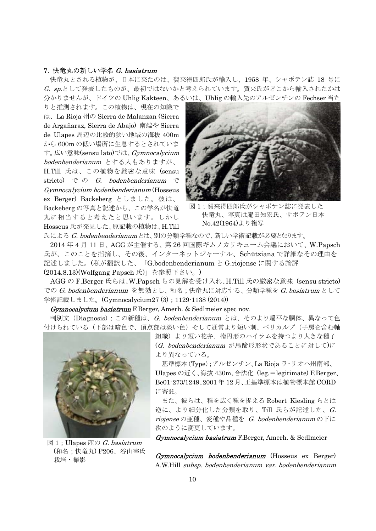# 7. 快竜丸の新しい学名 G. basiatrum

 快竜丸とされる植物が、日本に来たのは、賀来得四郎氏が輸入し、1958 年、シャボテン誌 18 号に G. sp.として発表したものが、最初ではないかと考えられています。賀来氏がどこから輸入されたかは 分かりませんが、ドイツの Uhlig Kakteen、あるいは、Uhlig の輸入先のアルゼンチンの Fechser 当た

りと推測されます。この植物は、現在の知識で は、La Rioja 州の Sierra de Malanzan (Sierra de Argañaraz, Sierra de Abajo) 南端や Sierra de Ulapes 周辺の比較的狭い地域の海抜 400m から 600m の低い場所に生息するとされていま す。広い意味(sensu lato)では、Gymnocalycium bodenbenderianum とする人もありますが、 H.Till 氏は、この植物を厳密な意味 (sensu stricto) での G. bodenbenderianum で Gymnocalycium bodenbenderianum (Hosseus ex Berger) Backeberg としました。彼は、 Backeberg の写真と記述から、この学名が快竜 丸に相当すると考えたと思います。しかし

Hosseus 氏が発見した、原記載の植物は、H.Till



図1;賀来得四郎氏がシャボテン誌に発表した 快竜丸、写真は庵田知宏氏、サボテン日本 No.42(1964)より複写

氏による G. bodenbenderianumとは、別の分類学種なので、新しい学術記載が必要となります。

2014 年 4 月 11 日、AGG が主催する、第 26 回国際ギムノカリキューム会議において、W.Papsch 氏が、このことを指摘し、その後、インターネットジャーナル、Schütziana で詳細なその理由を 記述しました。(私が翻訳した、「G.bodenbenderianum と G.riojense に関する論評 (2014.8.13)(Wolfgang Papsch 氏)」を参照下さい。)

AGG の F.Berger 氏らは、W.Papsch らの見解を受け入れ、H.Till 氏の厳密な意味 (sensu stricto) での G. bodenbenderianum を無効とし、和名;快竜丸に対応する、分類学種を G. basiatrum として 学術記載しました。(Gymnocalycium27 (3); 1129-1138 (2014))

Gymnocalycium basiatrum F.Berger, Amerh. & Sedlmeier spec nov.

判別文(Diagnosis);この新種は、*G. bodenbenderianum と*は、そのより扁平な胴体、異なって色 付けられている(下部は暗色で、頂点部は淡い色)そして通常より短い刺、ペリカルプ(子房を含む軸



図 1; Ulapes 産の G. basiatrum (和名;快竜丸) P206、谷山宰氏 栽培・撮影

組織)より短い花弁、楕円形のハイラムを持つより大きな種子 (G. bodenbenderianum が馬蹄形形状であることに対して)に より異なっている。

 基準標本(Type);アルゼンチン、La Rioja ラ・リオハ州南部、 Ulapes の近く、海抜 430m、合法化 (leg.=legitimate) F.Berger、 Be01-273/1249、2001 年 12 月、正基準標本は植物標本館 CORD に寄託。

 また、彼らは、種を広く種を捉える Robert Kiesling らとは 逆に、より細分化した分類を取り、Till 氏らが記述した、 $G$ . riojense の亜種、変種や品種を G. bodenbenderianum の下に 次のように変更しています。

Gymnocalycium basiatrum F.Berger, Amerh. & Sedlmeier

Gymnocalycium bodenbenderianum (Hosseus ex Berger) A.W.Hill subsp. bodenbenderianum var. bodenbenderianum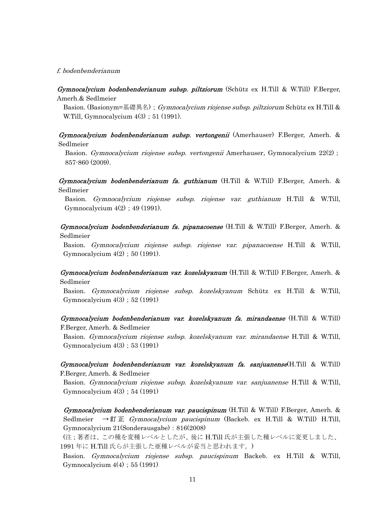#### f. bodenbenderianum

Gymnocalycium bodenbenderianum subsp. piltziorum (Schütz ex H.Till & W.Till) F.Berger, Amerh.& Sedlmeier

Basion. (Basionym=基礎異名); Gymnocalycium riojense subsp. piltziorum Schütz ex H.Till & W.Till, Gymnocalycium  $4(3)$ ; 51 (1991).

Gymnocalycium bodenbenderianum subsp. vertongenii (Amerhauser) F.Berger, Amerh. & Sedlmeier

Basion. *Gymnocalycium riojense subsp. vertongenii* Amerhauser, Gymnocalycium 22(2); 857-860 (2009).

Gymnocalycium bodenbenderianum fa. guthianum (H.Till & W.Till) F.Berger, Amerh. & Sedlmeier

Basion. Gymnocalycium riojense subsp. riojense var. guthianum H.Till & W.Till, Gymnocalycium  $4(2)$ ; 49 (1991).

Gymnocalycium bodenbenderianum fa. pipanacoense (H.Till & W.Till) F.Berger, Amerh. & Sedlmeier

Basion. Gymnocalycium riojense subsp. riojense var. pipanacoense H.Till & W.Till, Gymnocalycium  $4(2)$ ; 50 (1991).

Gymnocalycium bodenbenderianum var. kozelskyanum (H.Till & W.Till) F.Berger, Amerh. & Sedlmeier

Basion. Gymnocalycium riojense subsp. kozelskyanum Schütz ex H.Till & W.Till, Gymnocalycium 4(3);52 (1991)

Gymnocalycium bodenbenderianum var. kozelskyanum fa. mirandaense (H.Till & W.Till) F.Berger, Amerh. & Sedlmeier

Basion. Gymnocalycium riojense subsp. kozelskyanum var. mirandaense H.Till & W.Till, Gymnocalycium 4(3);53 (1991)

 $Gymnocalycium bodenbenderianum var. kozelskyanum fa. sanjuanens $e(H.Till \& W.Till)$$ F.Berger, Amerh. & Sedlmeier

Basion. Gymnocalycium riojense subsp. kozelskyanum var. sanjuanense H.Till & W.Till, Gymnocalycium 4(3);54 (1991)

 $Gymnocalycium bodenbenderianum var. paucispinum (H.Till & W.Till) F. Berger, Amerh. &$ Sedlmeier →訂正 *Gymnocalycium paucispinum* (Backeb. ex H.Till & W.Till) H.Till, Gymnocalycium 21(Sonderausgabe):816(2008)

 (注;著者は、この種を変種レベルとしたが、後に H.Till 氏が主張した種レベルに変更しました、 1991 年に H.Till 氏らが主張した亜種レベルが妥当と思われます。)

Basion. Gymnocalycium riojense subsp. paucispinum Backeb. ex H.Till & W.Till, Gymnocalycium  $4(4)$ ; 55 (1991)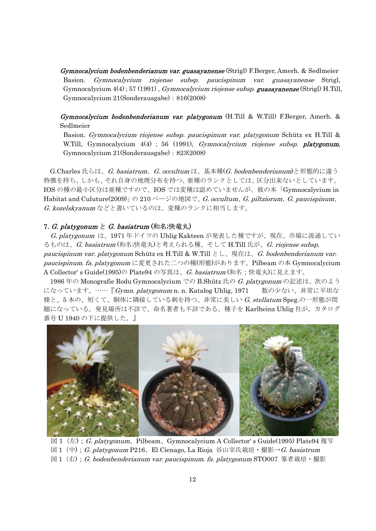Gymnocalycium bodenbenderianum var. guasayanense (Strigl) F.Berger, Amerh. & Sedlmeier Basion. Gymnocalycium riojense subsp. paucispinum var. guasayanense Strigl, Gymnocalycium 4(4); 57 (1991), *Gymnocalycium riojense subsp.* **guasayanense** (Strigl) H.Till, Gymnocalycium 21(Sonderausgabe):816(2008)

 $Gymnocalycum\n *bodenbenderianum var. platygonum* (H.Till & W.Till) F. Berger, Amerh. &$ Sedlmeier

Basion. Gymnocalycium riojense subsp. paucispinum var. platygonum Schütz ex H.Till & W.Till, Gymnocalycium 4(4); 56 (1991), *Gymnocalycium riojense subsp. platygonum*, Gymnocalycium 21(Sonderausgabe):823(2008)

G.Charles 氏らは、G. basiatrum、G. occultum は、基本種(G. bodenbenderianum)と形態的に違う 特徴を持ち、しかも、それ自身の地理分布を持つ、亜種のランクとしては、区分出来ないとしています。 IOS の種の最小区分は亜種ですので、IOS では変種は認めていませんが、彼の本「Gymnocalycium in Habitat and Culuture(2009)」の 210 ページの地図で、G. occultum、G. piltziorum、G. paucispinum、 G. kozelskyanum などと書いているのは、変種のランクに相当します。

### 7. G. platygonum と G. basiatrum (和名;快竜丸)

 G. platygonum は、1971 年ドイツの Uhlig Kakteen が発表した種ですが、現在、市場に流通してい るものは、G. basiatrum (和名;快竜丸)と考えられる種、そして H.Till 氏が、G. riojense subsp. paucispinum var. platygonum Schütz ex H.Till & W.Till とし、現在は、G. bodenbenderianum var. paucispinum. fa. platygonum に変更された二つの種(形態)があります。Pilbeam の本 Gymnocalycium A Collector' s Guide(1995)の Plate94 の写真は、G. basiatrum (和名;快竜丸)に見えます。

1986年の Monografie Rodu Gymnocalycium での B.Shütz 氏の G. platygonum の記述は、次のよう になっています。……『Gymn. platygonum n. n. Katalog Uhlig, 1971 数の少ない、非常に平坦な 稜と、5 本の、短くて、胴体に隣接している刺を持つ、非常に美しい G. stellatum Speg.の一形態が問 題になっている。発見場所は不詳で、命名著者も不詳である。種子を Karlheinz Uhlig 社が,カタログ 番号 U 1940 の下に提供した。』



図 1 (左); G. platygonum, Pilbeam、Gymnocalycium A Collector' s Guide(1995) Plate94 複写 図 1 (中); G. platygonum P216、El Cienago, La Rioja 谷山宰氏栽培 • 撮影→ G. basiatrum 図 1 (右); G. bodenbenderianum var. paucispinum. fa. platygonum STO007 筆者栽培・撮影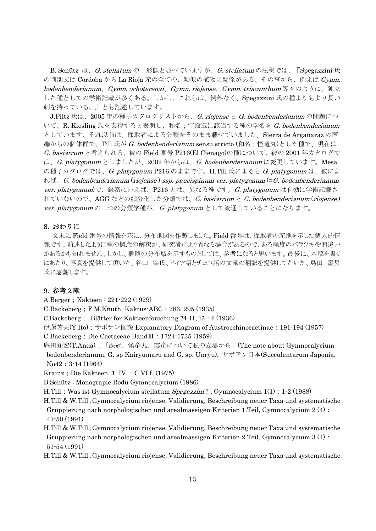B. Schütz は、*G. stellatum* の一形態と述べていますが、*G. stellatum* の注釈では、『Spegazzini 氏 の判別文は Cordoba から La Rioja 産の全ての、類似の植物に関係がある、その事から、例えば Gymn. bodenbenderianum、Gymn. ochoterenai、Gymn. riojense、Gymn. triacanthum 等々のように、独立 した種としての学術記載が多くある。しかし、これらは、例外なく、Spegazzini 氏の種よりもより長い 刺を持っている。』とも記述しています。

J.Piltz 氏は、2005年の種子カタログリストから、G. riojense と G. bodenbenderianum の問題につ いて、R. Kiesling 氏を支持すると表明し、和名;守殿玉に該当する種の学名を G. bodenbenderianum としています、それ以前は、採取者による分類をそのまま載せていました。Sierra de Argañaraz の南 端からの個体群で、Till 氏が G. bodenbenderianum sensu stricto (和名;怪竜丸)とした種で、現在は G. basiatrum と考えられる、彼の Field 番号 P216(El Cienago)の種について、彼の 2001 年カタログで は、G. platygonum としましたが、2002 年からは、G. bodenbenderianum に変更しています。Mesa の種子カタログでは、G. platygonum P216 のままです。H.Till 氏によると G. platygonumは、彼によ れば、G. bodenbenderianum (riojense ) ssp. paucispinum var. platygonum (=G. bodenbenderianum var. platygonum)で、厳密にいえば、P216 とは、異なる種です。G. platygonum は有効に学術記載さ れていないので、AGG などの細分化した分類では、G. basiatrum と G. bodenbenderianum (riojense) var. platygonum の二つの分類学種が、G. platygonum として流通していることになります。

### 8. おわりに

 文末に Field 番号の情報を基に、分布地図を作製しました。Field 番号は、採取者の産地を示した個人的情 報です。前述したように種の概念の解釈が、研究者により異なる場合があるので、ある程度のバラツキや間違い があるかも知れません、しかし、概略の分布域を示すものとしては、参考になると思います。最後に、本稿を書く にあたり、写真を提供して頂いた、谷山 宰氏、ドイツ語とチェコ語の文献の翻訳を提供してだいた、島田 壽男 氏に感謝します。

## 9. 参考文献

A.Berger; Kakteen: 221-222 (1929)

C.Backeberg;F.M.Knuth, Kaktus-ABC:286, 295 (1935)

C.Backeberg; Blätter for Kakteenforschung 74-11, 12:6 (1936)

伊藤芳夫(Y.Ito);サボテン図説 Explanatory Diagram of Austroechinocactinae:191-194 (1957) C.Backeberg;Die Cactaceae BandⅢ:1724-1735 (1959)

庵田知宏(T.Anda);「鉄冠、怪竜丸、雲竜について私の立場から」(The note about Gymnocalycium bodenbenderianum, G. sp Kairyumaru and G. sp. Unryu), サボテン日本(Succulentarum Japonia, No42:3-14 (1964)

Krainz; Die Kakteen, 1. IV.: C VI f. (1975)

B.Schütz ; Monograpie Rodu Gymnocalycium (1986)

H.Till; Was ist Gymnocalycium stellatum Spegazzini?, Gymnocalycium 1(1): 1-2 (1988)

H.Till & W.Till;Gymnocalycium riojense, Validierung, Beschreibung neuer Taxa und systematische Gruppierung nach norphologischen und arealmassigen Kriterien 1.Teil, Gymnocalycium 2 (4): 47-50 (1991)

H.Till & W.Till;Gymnocalycium riojense, Validierung, Beschreibung neuer Taxa und systematische Gruppierung nach norphologischen und arealmassigen Kriterien 2.Teil, Gymnocalycium 3 (4): 51-54 (1991)

H.Till & W.Till;Gymnocalycium riojense, Validierung, Beschreibung neuer Taxa und systematische